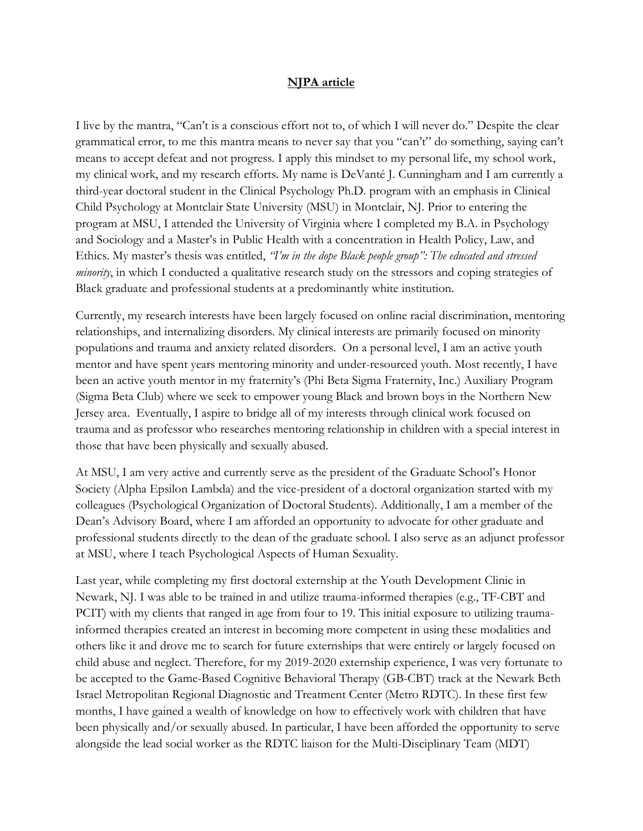## **NJPA article**

I live by the mantra, "Can't is a conscious effort not to, of which I will never do." Despite the clear grammatical error, to me this mantra means to never say that you "can't" do something, saying can't means to accept defeat and not progress. I apply this mindset to my personal life, my school work, my clinical work, and my research efforts. My name is DeVanté J. Cunningham and I am currently a third-year doctoral student in the Clinical Psychology Ph.D. program with an emphasis in Clinical Child Psychology at Montclair State University (MSU) in Montclair, NJ. Prior to entering the program at MSU, I attended the University of Virginia where I completed my B.A. in Psychology and Sociology and a Master's in Public Health with a concentration in Health Policy, Law, and Ethics. My master's thesis was entitled, *"I'm in the dope Black people group": The educated and stressed minority*, in which I conducted a qualitative research study on the stressors and coping strategies of Black graduate and professional students at a predominantly white institution.

Currently, my research interests have been largely focused on online racial discrimination, mentoring relationships, and internalizing disorders. My clinical interests are primarily focused on minority populations and trauma and anxiety related disorders. On a personal level, I am an active youth mentor and have spent years mentoring minority and under-resourced youth. Most recently, I have been an active youth mentor in my fraternity's (Phi Beta Sigma Fraternity, Inc.) Auxiliary Program (Sigma Beta Club) where we seek to empower young Black and brown boys in the Northern New Jersey area. Eventually, I aspire to bridge all of my interests through clinical work focused on trauma and as professor who researches mentoring relationship in children with a special interest in those that have been physically and sexually abused.

At MSU, I am very active and currently serve as the president of the Graduate School's Honor Society (Alpha Epsilon Lambda) and the vice-president of a doctoral organization started with my colleagues (Psychological Organization of Doctoral Students). Additionally, I am a member of the Dean's Advisory Board, where I am afforded an opportunity to advocate for other graduate and professional students directly to the dean of the graduate school. I also serve as an adjunct professor at MSU, where I teach Psychological Aspects of Human Sexuality.

Last year, while completing my first doctoral externship at the Youth Development Clinic in Newark, NJ. I was able to be trained in and utilize trauma-informed therapies (e.g., TF-CBT and PCIT) with my clients that ranged in age from four to 19. This initial exposure to utilizing traumainformed therapies created an interest in becoming more competent in using these modalities and others like it and drove me to search for future externships that were entirely or largely focused on child abuse and neglect. Therefore, for my 2019-2020 externship experience, I was very fortunate to be accepted to the Game-Based Cognitive Behavioral Therapy (GB-CBT) track at the Newark Beth Israel Metropolitan Regional Diagnostic and Treatment Center (Metro RDTC). In these first few months, I have gained a wealth of knowledge on how to effectively work with children that have been physically and/or sexually abused. In particular, I have been afforded the opportunity to serve alongside the lead social worker as the RDTC liaison for the Multi-Disciplinary Team (MDT)